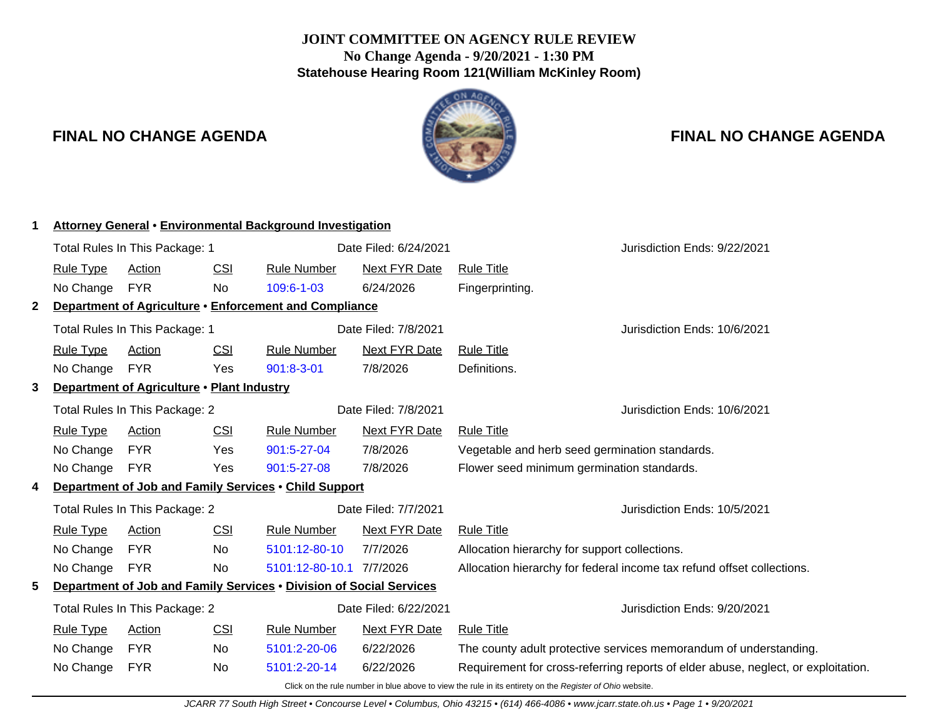## **JOINT COMMITTEE ON AGENCY RULE REVIEW No Change Agenda - 9/20/2021 - 1:30 PM Statehouse Hearing Room 121(William McKinley Room)**



# **FINAL NO CHANGE AGENDA FINAL NO CHANGE AGENDA**

| 1            | <b>Attorney General • Environmental Background Investigation</b>                                                               |                                |            |                                                        |                              |                                                                                                          |                                                                                   |  |
|--------------|--------------------------------------------------------------------------------------------------------------------------------|--------------------------------|------------|--------------------------------------------------------|------------------------------|----------------------------------------------------------------------------------------------------------|-----------------------------------------------------------------------------------|--|
|              | Total Rules In This Package: 1                                                                                                 |                                |            |                                                        | Date Filed: 6/24/2021        |                                                                                                          | Jurisdiction Ends: 9/22/2021                                                      |  |
|              | <b>Rule Type</b>                                                                                                               | Action                         | CSI        | <b>Rule Number</b>                                     | <b>Next FYR Date</b>         | <b>Rule Title</b>                                                                                        |                                                                                   |  |
|              | No Change                                                                                                                      | <b>FYR</b>                     | No         | 109:6-1-03                                             | 6/24/2026                    | Fingerprinting.                                                                                          |                                                                                   |  |
| $\mathbf{2}$ |                                                                                                                                |                                |            | Department of Agriculture • Enforcement and Compliance |                              |                                                                                                          |                                                                                   |  |
|              | Date Filed: 7/8/2021<br>Total Rules In This Package: 1                                                                         |                                |            |                                                        | Jurisdiction Ends: 10/6/2021 |                                                                                                          |                                                                                   |  |
|              | <b>Rule Type</b>                                                                                                               | Action                         | <u>CSI</u> | <b>Rule Number</b>                                     | Next FYR Date                | <b>Rule Title</b>                                                                                        |                                                                                   |  |
|              | No Change                                                                                                                      | <b>FYR</b>                     | Yes        | $901:8-3-01$                                           | 7/8/2026                     | Definitions.                                                                                             |                                                                                   |  |
| 3            | Department of Agriculture . Plant Industry                                                                                     |                                |            |                                                        |                              |                                                                                                          |                                                                                   |  |
|              | Total Rules In This Package: 2                                                                                                 |                                |            |                                                        | Date Filed: 7/8/2021         |                                                                                                          | Jurisdiction Ends: 10/6/2021                                                      |  |
|              | <b>Rule Type</b>                                                                                                               | Action                         | CSI        | <b>Rule Number</b>                                     | <b>Next FYR Date</b>         | <b>Rule Title</b>                                                                                        |                                                                                   |  |
|              | No Change                                                                                                                      | <b>FYR</b>                     | Yes        | 901:5-27-04                                            | 7/8/2026                     | Vegetable and herb seed germination standards.                                                           |                                                                                   |  |
|              | No Change                                                                                                                      | <b>FYR</b>                     | Yes        | 901:5-27-08                                            | 7/8/2026                     | Flower seed minimum germination standards.                                                               |                                                                                   |  |
| 4            |                                                                                                                                |                                |            | Department of Job and Family Services . Child Support  |                              |                                                                                                          |                                                                                   |  |
|              |                                                                                                                                | Total Rules In This Package: 2 |            |                                                        | Date Filed: 7/7/2021         |                                                                                                          | Jurisdiction Ends: 10/5/2021                                                      |  |
|              | <b>Rule Type</b>                                                                                                               | Action                         | CSI        | <b>Rule Number</b>                                     | <b>Next FYR Date</b>         | <b>Rule Title</b>                                                                                        |                                                                                   |  |
|              | No Change                                                                                                                      | <b>FYR</b>                     | <b>No</b>  | 5101:12-80-10                                          | 7/7/2026                     | Allocation hierarchy for support collections.                                                            |                                                                                   |  |
|              | No Change                                                                                                                      | <b>FYR</b>                     | No         | 5101:12-80-10.1 7/7/2026                               |                              |                                                                                                          | Allocation hierarchy for federal income tax refund offset collections.            |  |
| 5            | Department of Job and Family Services . Division of Social Services<br>Date Filed: 6/22/2021<br>Total Rules In This Package: 2 |                                |            |                                                        |                              |                                                                                                          |                                                                                   |  |
|              |                                                                                                                                |                                |            |                                                        |                              | Jurisdiction Ends: 9/20/2021                                                                             |                                                                                   |  |
|              | <b>Rule Type</b>                                                                                                               | Action                         | CSI        | <b>Rule Number</b>                                     | <b>Next FYR Date</b>         | <b>Rule Title</b>                                                                                        |                                                                                   |  |
|              | No Change                                                                                                                      | <b>FYR</b>                     | <b>No</b>  | 5101:2-20-06                                           | 6/22/2026                    |                                                                                                          | The county adult protective services memorandum of understanding.                 |  |
|              | No Change                                                                                                                      | <b>FYR</b>                     | No.        | 5101:2-20-14                                           | 6/22/2026                    |                                                                                                          | Requirement for cross-referring reports of elder abuse, neglect, or exploitation. |  |
|              |                                                                                                                                |                                |            |                                                        |                              | Click on the rule number in blue above to view the rule in its entirety on the Register of Ohio website. |                                                                                   |  |

JCARR 77 South High Street • Concourse Level • Columbus, Ohio 43215 • (614) 466-4086 • www.jcarr.state.oh.us • Page 1 • 9/20/2021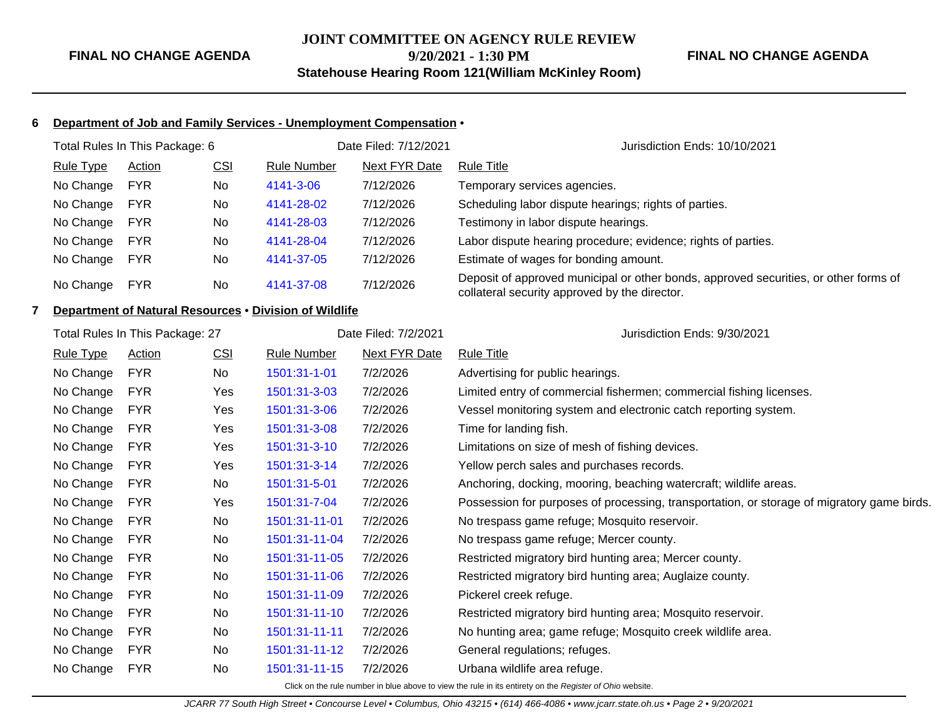## **JOINT COMMITTEE ON AGENCY RULE REVIEW 9/20/2021 - 1:30 PM Statehouse Hearing Room 121(William McKinley Room)**

#### **FINAL NO CHANGE AGENDA**

#### **6 Department of Job and Family Services - Unemployment Compensation** •

| Total Rules In This Package: 6 |                  |            |           |             | Date Filed: 7/12/2021 | Jurisdiction Ends: 10/10/2021                                                                                                         |  |
|--------------------------------|------------------|------------|-----------|-------------|-----------------------|---------------------------------------------------------------------------------------------------------------------------------------|--|
|                                | <b>Rule Type</b> | Action     | CSI       | Rule Number | Next FYR Date         | Rule Title                                                                                                                            |  |
|                                | No Change        | <b>FYR</b> | <b>No</b> | 4141-3-06   | 7/12/2026             | Temporary services agencies.                                                                                                          |  |
|                                | No Change        | <b>FYR</b> | <b>No</b> | 4141-28-02  | 7/12/2026             | Scheduling labor dispute hearings; rights of parties.                                                                                 |  |
|                                | No Change        | <b>FYR</b> | <b>No</b> | 4141-28-03  | 7/12/2026             | Testimony in labor dispute hearings.                                                                                                  |  |
|                                | No Change        | <b>FYR</b> | <b>No</b> | 4141-28-04  | 7/12/2026             | Labor dispute hearing procedure; evidence; rights of parties.                                                                         |  |
|                                | No Change        | <b>FYR</b> | No        | 4141-37-05  | 7/12/2026             | Estimate of wages for bonding amount.                                                                                                 |  |
|                                | No Change        | <b>FYR</b> | <b>No</b> | 4141-37-08  | 7/12/2026             | Deposit of approved municipal or other bonds, approved securities, or other forms of<br>collateral security approved by the director. |  |

## **7 Department of Natural Resources** • **Division of Wildlife**

| Total Rules In This Package: 27 |                  |               |            |                    | Date Filed: 7/2/2021 | Jurisdiction Ends: 9/30/2021                                                               |  |
|---------------------------------|------------------|---------------|------------|--------------------|----------------------|--------------------------------------------------------------------------------------------|--|
|                                 | <b>Rule Type</b> | <b>Action</b> | <u>CSI</u> | <u>Rule Number</u> | <b>Next FYR Date</b> | <b>Rule Title</b>                                                                          |  |
|                                 | No Change        | <b>FYR</b>    | No         | 1501:31-1-01       | 7/2/2026             | Advertising for public hearings.                                                           |  |
|                                 | No Change        | <b>FYR</b>    | Yes        | 1501:31-3-03       | 7/2/2026             | Limited entry of commercial fishermen; commercial fishing licenses.                        |  |
|                                 | No Change        | <b>FYR</b>    | Yes        | 1501:31-3-06       | 7/2/2026             | Vessel monitoring system and electronic catch reporting system.                            |  |
|                                 | No Change        | <b>FYR</b>    | Yes        | 1501:31-3-08       | 7/2/2026             | Time for landing fish.                                                                     |  |
|                                 | No Change        | <b>FYR</b>    | Yes        | 1501:31-3-10       | 7/2/2026             | Limitations on size of mesh of fishing devices.                                            |  |
|                                 | No Change        | <b>FYR</b>    | Yes        | 1501:31-3-14       | 7/2/2026             | Yellow perch sales and purchases records.                                                  |  |
|                                 | No Change        | <b>FYR</b>    | No         | 1501:31-5-01       | 7/2/2026             | Anchoring, docking, mooring, beaching watercraft; wildlife areas.                          |  |
|                                 | No Change        | <b>FYR</b>    | Yes        | 1501:31-7-04       | 7/2/2026             | Possession for purposes of processing, transportation, or storage of migratory game birds. |  |
|                                 | No Change        | <b>FYR</b>    | No         | 1501:31-11-01      | 7/2/2026             | No trespass game refuge; Mosquito reservoir.                                               |  |
|                                 | No Change        | <b>FYR</b>    | No         | 1501:31-11-04      | 7/2/2026             | No trespass game refuge; Mercer county.                                                    |  |
|                                 | No Change        | <b>FYR</b>    | No         | 1501:31-11-05      | 7/2/2026             | Restricted migratory bird hunting area; Mercer county.                                     |  |
|                                 | No Change        | <b>FYR</b>    | No         | 1501:31-11-06      | 7/2/2026             | Restricted migratory bird hunting area; Auglaize county.                                   |  |
|                                 | No Change        | <b>FYR</b>    | No.        | 1501:31-11-09      | 7/2/2026             | Pickerel creek refuge.                                                                     |  |
|                                 | No Change        | <b>FYR</b>    | No         | 1501:31-11-10      | 7/2/2026             | Restricted migratory bird hunting area; Mosquito reservoir.                                |  |
|                                 | No Change        | <b>FYR</b>    | No.        | 1501:31-11-11      | 7/2/2026             | No hunting area; game refuge; Mosquito creek wildlife area.                                |  |
|                                 | No Change        | <b>FYR</b>    | No         | 1501:31-11-12      | 7/2/2026             | General regulations; refuges.                                                              |  |
|                                 | No Change        | <b>FYR</b>    | No         | 1501:31-11-15      | 7/2/2026             | Urbana wildlife area refuge.                                                               |  |
|                                 |                  |               |            |                    |                      |                                                                                            |  |

Click on the rule number in blue above to view the rule in its entirety on the Register of Ohio website.

JCARR 77 South High Street • Concourse Level • Columbus, Ohio 43215 • (614) 466-4086 • www.jcarr.state.oh.us • Page 2 • 9/20/2021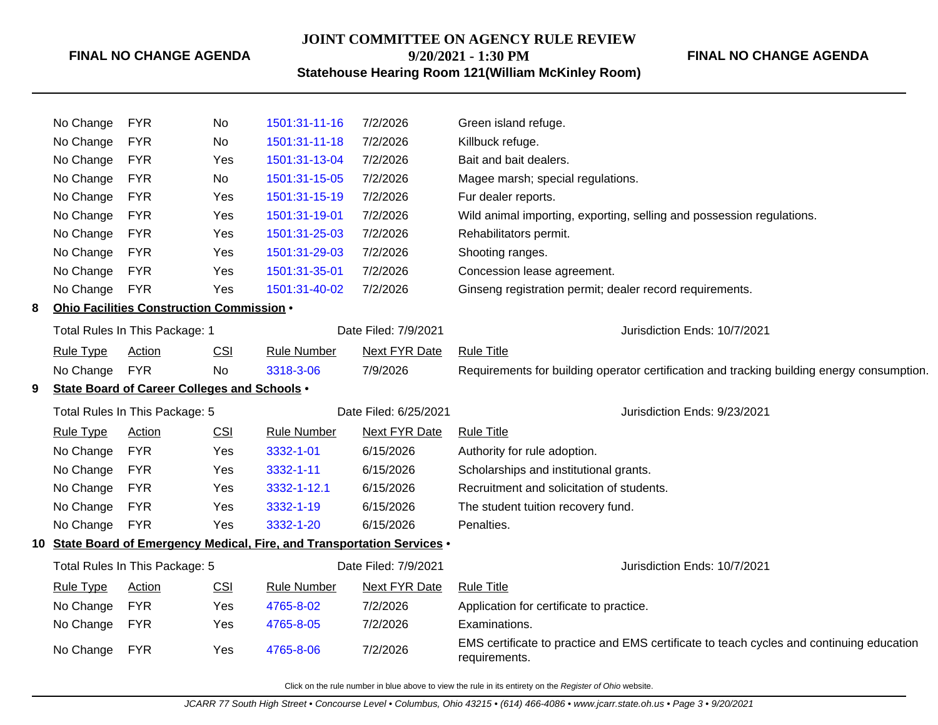#### **FINAL NO CHANGE AGENDA**

## **JOINT COMMITTEE ON AGENCY RULE REVIEW 9/20/2021 - 1:30 PM**

#### **FINAL NO CHANGE AGENDA**

**Statehouse Hearing Room 121(William McKinley Room)**

|                                | No Change                                                                | <b>FYR</b>                                | No         | 1501:31-11-16                | 7/2/2026                     | Green island refuge.                                                                                      |
|--------------------------------|--------------------------------------------------------------------------|-------------------------------------------|------------|------------------------------|------------------------------|-----------------------------------------------------------------------------------------------------------|
|                                | No Change                                                                | <b>FYR</b>                                | No         | 1501:31-11-18                | 7/2/2026                     | Killbuck refuge.                                                                                          |
|                                | No Change                                                                | <b>FYR</b>                                | Yes        | 1501:31-13-04                | 7/2/2026                     | Bait and bait dealers.                                                                                    |
|                                | No Change                                                                | <b>FYR</b>                                | <b>No</b>  | 1501:31-15-05                | 7/2/2026                     | Magee marsh; special regulations.                                                                         |
|                                | No Change                                                                | <b>FYR</b>                                | Yes        | 1501:31-15-19                | 7/2/2026                     | Fur dealer reports.                                                                                       |
|                                | No Change                                                                | <b>FYR</b>                                | Yes        | 1501:31-19-01                | 7/2/2026                     | Wild animal importing, exporting, selling and possession regulations.                                     |
|                                | No Change                                                                | <b>FYR</b>                                | Yes        | 1501:31-25-03                | 7/2/2026                     | Rehabilitators permit.                                                                                    |
|                                | No Change                                                                | <b>FYR</b>                                | Yes        | 1501:31-29-03                | 7/2/2026                     | Shooting ranges.                                                                                          |
|                                | No Change                                                                | <b>FYR</b>                                | Yes        | 1501:31-35-01                | 7/2/2026                     | Concession lease agreement.                                                                               |
|                                | No Change                                                                | <b>FYR</b>                                | Yes        | 1501:31-40-02                | 7/2/2026                     | Ginseng registration permit; dealer record requirements.                                                  |
| 8                              |                                                                          | Ohio Facilities Construction Commission . |            |                              |                              |                                                                                                           |
|                                |                                                                          | Total Rules In This Package: 1            |            | Date Filed: 7/9/2021         |                              | Jurisdiction Ends: 10/7/2021                                                                              |
|                                | <b>Rule Type</b>                                                         | Action                                    | CSI        | <b>Rule Number</b>           | Next FYR Date                | <b>Rule Title</b>                                                                                         |
|                                | No Change                                                                | <b>FYR</b>                                | <b>No</b>  | 3318-3-06                    | 7/9/2026                     | Requirements for building operator certification and tracking building energy consumption.                |
| 9                              | State Board of Career Colleges and Schools .                             |                                           |            |                              |                              |                                                                                                           |
|                                | Total Rules In This Package: 5                                           |                                           |            | Date Filed: 6/25/2021        | Jurisdiction Ends: 9/23/2021 |                                                                                                           |
|                                | <b>Rule Type</b>                                                         | <b>Action</b>                             | <b>CSI</b> | <b>Rule Number</b>           | <b>Next FYR Date</b>         | <b>Rule Title</b>                                                                                         |
|                                | No Change                                                                | <b>FYR</b>                                | Yes        | 3332-1-01                    | 6/15/2026                    | Authority for rule adoption.                                                                              |
|                                | No Change                                                                | <b>FYR</b>                                | Yes        | 3332-1-11                    | 6/15/2026                    | Scholarships and institutional grants.                                                                    |
|                                | No Change                                                                | <b>FYR</b>                                | Yes        | 3332-1-12.1                  | 6/15/2026                    | Recruitment and solicitation of students.                                                                 |
|                                | No Change                                                                | <b>FYR</b>                                | <b>Yes</b> | 3332-1-19                    | 6/15/2026                    | The student tuition recovery fund.                                                                        |
|                                | No Change                                                                | <b>FYR</b>                                | Yes        | 3332-1-20                    | 6/15/2026                    | Penalties.                                                                                                |
|                                | 10 State Board of Emergency Medical, Fire, and Transportation Services . |                                           |            |                              |                              |                                                                                                           |
| Total Rules In This Package: 5 |                                                                          | Date Filed: 7/9/2021                      |            | Jurisdiction Ends: 10/7/2021 |                              |                                                                                                           |
|                                | <b>Rule Type</b>                                                         | <b>Action</b>                             | CSI        | <b>Rule Number</b>           | <b>Next FYR Date</b>         | <b>Rule Title</b>                                                                                         |
|                                | No Change                                                                | <b>FYR</b>                                | Yes        | 4765-8-02                    | 7/2/2026                     | Application for certificate to practice.                                                                  |
|                                | No Change                                                                | <b>FYR</b>                                | Yes        | 4765-8-05                    | 7/2/2026                     | Examinations.                                                                                             |
|                                | No Change                                                                | <b>FYR</b>                                | Yes        | 4765-8-06                    | 7/2/2026                     | EMS certificate to practice and EMS certificate to teach cycles and continuing education<br>requirements. |

Click on the rule number in blue above to view the rule in its entirety on the Register of Ohio website.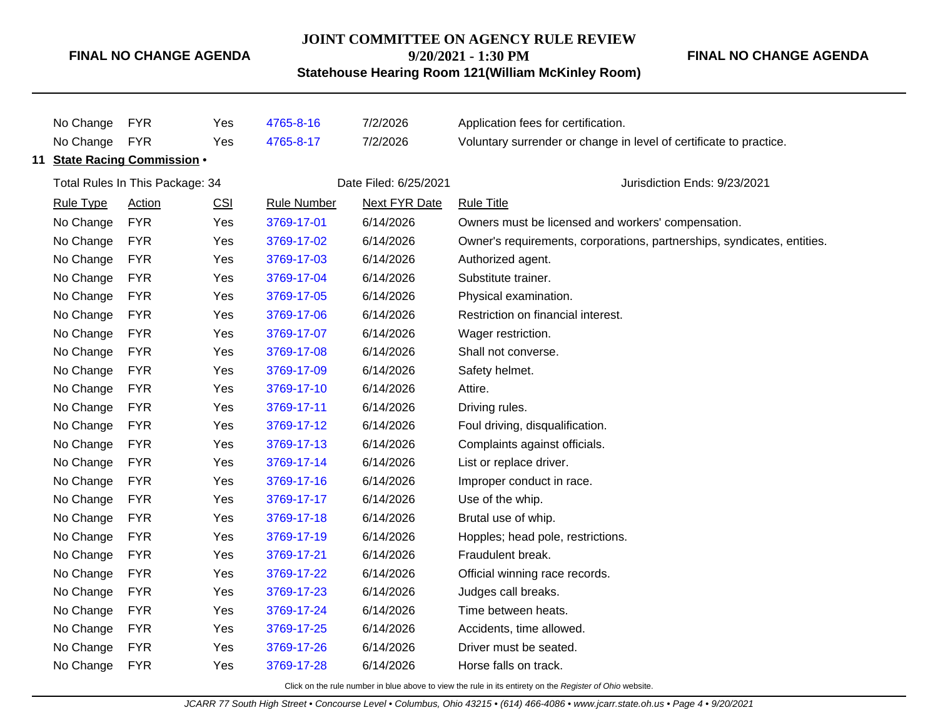### **FINAL NO CHANGE AGENDA**

#### **JOINT COMMITTEE ON AGENCY RULE REVIEW**

**9/20/2021 - 1:30 PM**

**Statehouse Hearing Room 121(William McKinley Room)**

**FINAL NO CHANGE AGENDA**

No Change FYR Yes [4765-8-16](http://www.registerofohio.state.oh.us/jsps/publicdisplayrules/processPublicDisplayRules.jsp?entered_rule_no=4765-8-16&doWhat=GETBYRULENUM&raID=0) 7/2/2026 Application fees for certification. No Change FYR Yes [4765-8-17](http://www.registerofohio.state.oh.us/jsps/publicdisplayrules/processPublicDisplayRules.jsp?entered_rule_no=4765-8-17&doWhat=GETBYRULENUM&raID=0) 7/2/2026 Voluntary surrender or change in level of certificate to practice. **11 State Racing Commission** • Total Rules In This Package: 34 Date Filed: 6/25/2021 Jurisdiction Ends: 9/23/2021 Rule Type Action CSI Rule Number Next FYR Date Rule Title No Change FYR Yes [3769-17-01](http://www.registerofohio.state.oh.us/jsps/publicdisplayrules/processPublicDisplayRules.jsp?entered_rule_no=3769-17-01&doWhat=GETBYRULENUM&raID=0) 6/14/2026 Owners must be licensed and workers' compensation. No Change FYR Yes [3769-17-02](http://www.registerofohio.state.oh.us/jsps/publicdisplayrules/processPublicDisplayRules.jsp?entered_rule_no=3769-17-02&doWhat=GETBYRULENUM&raID=0) 6/14/2026 Owner's requirements, corporations, partnerships, syndicates, entities. No Change FYR Yes [3769-17-03](http://www.registerofohio.state.oh.us/jsps/publicdisplayrules/processPublicDisplayRules.jsp?entered_rule_no=3769-17-03&doWhat=GETBYRULENUM&raID=0) 6/14/2026 Authorized agent. No Change FYR Yes [3769-17-04](http://www.registerofohio.state.oh.us/jsps/publicdisplayrules/processPublicDisplayRules.jsp?entered_rule_no=3769-17-04&doWhat=GETBYRULENUM&raID=0) 6/14/2026 Substitute trainer. No Change FYR Yes [3769-17-05](http://www.registerofohio.state.oh.us/jsps/publicdisplayrules/processPublicDisplayRules.jsp?entered_rule_no=3769-17-05&doWhat=GETBYRULENUM&raID=0) 6/14/2026 Physical examination. No Change FYR Yes [3769-17-06](http://www.registerofohio.state.oh.us/jsps/publicdisplayrules/processPublicDisplayRules.jsp?entered_rule_no=3769-17-06&doWhat=GETBYRULENUM&raID=0) 6/14/2026 Restriction on financial interest. No Change FYR Yes [3769-17-07](http://www.registerofohio.state.oh.us/jsps/publicdisplayrules/processPublicDisplayRules.jsp?entered_rule_no=3769-17-07&doWhat=GETBYRULENUM&raID=0) 6/14/2026 Wager restriction. No Change FYR Yes [3769-17-08](http://www.registerofohio.state.oh.us/jsps/publicdisplayrules/processPublicDisplayRules.jsp?entered_rule_no=3769-17-08&doWhat=GETBYRULENUM&raID=0) 6/14/2026 Shall not converse. No Change FYR Yes [3769-17-09](http://www.registerofohio.state.oh.us/jsps/publicdisplayrules/processPublicDisplayRules.jsp?entered_rule_no=3769-17-09&doWhat=GETBYRULENUM&raID=0) 6/14/2026 Safety helmet. No Change FYR Yes [3769-17-10](http://www.registerofohio.state.oh.us/jsps/publicdisplayrules/processPublicDisplayRules.jsp?entered_rule_no=3769-17-10&doWhat=GETBYRULENUM&raID=0) 6/14/2026 Attire. No Change FYR Yes [3769-17-11](http://www.registerofohio.state.oh.us/jsps/publicdisplayrules/processPublicDisplayRules.jsp?entered_rule_no=3769-17-11&doWhat=GETBYRULENUM&raID=0) 6/14/2026 Driving rules. No Change FYR Yes [3769-17-12](http://www.registerofohio.state.oh.us/jsps/publicdisplayrules/processPublicDisplayRules.jsp?entered_rule_no=3769-17-12&doWhat=GETBYRULENUM&raID=0) 6/14/2026 Foul driving, disqualification. No Change FYR Yes [3769-17-13](http://www.registerofohio.state.oh.us/jsps/publicdisplayrules/processPublicDisplayRules.jsp?entered_rule_no=3769-17-13&doWhat=GETBYRULENUM&raID=0) 6/14/2026 Complaints against officials. No Change FYR Yes [3769-17-14](http://www.registerofohio.state.oh.us/jsps/publicdisplayrules/processPublicDisplayRules.jsp?entered_rule_no=3769-17-14&doWhat=GETBYRULENUM&raID=0) 6/14/2026 List or replace driver. No Change FYR Yes [3769-17-16](http://www.registerofohio.state.oh.us/jsps/publicdisplayrules/processPublicDisplayRules.jsp?entered_rule_no=3769-17-16&doWhat=GETBYRULENUM&raID=0) 6/14/2026 Improper conduct in race. No Change FYR Yes [3769-17-17](http://www.registerofohio.state.oh.us/jsps/publicdisplayrules/processPublicDisplayRules.jsp?entered_rule_no=3769-17-17&doWhat=GETBYRULENUM&raID=0) 6/14/2026 Use of the whip. No Change FYR Yes [3769-17-18](http://www.registerofohio.state.oh.us/jsps/publicdisplayrules/processPublicDisplayRules.jsp?entered_rule_no=3769-17-18&doWhat=GETBYRULENUM&raID=0) 6/14/2026 Brutal use of whip. No Change FYR Yes [3769-17-19](http://www.registerofohio.state.oh.us/jsps/publicdisplayrules/processPublicDisplayRules.jsp?entered_rule_no=3769-17-19&doWhat=GETBYRULENUM&raID=0) 6/14/2026 Hopples; head pole, restrictions. No Change FYR Yes [3769-17-21](http://www.registerofohio.state.oh.us/jsps/publicdisplayrules/processPublicDisplayRules.jsp?entered_rule_no=3769-17-21&doWhat=GETBYRULENUM&raID=0) 6/14/2026 Fraudulent break. No Change FYR Yes [3769-17-22](http://www.registerofohio.state.oh.us/jsps/publicdisplayrules/processPublicDisplayRules.jsp?entered_rule_no=3769-17-22&doWhat=GETBYRULENUM&raID=0) 6/14/2026 Official winning race records. No Change FYR Yes [3769-17-23](http://www.registerofohio.state.oh.us/jsps/publicdisplayrules/processPublicDisplayRules.jsp?entered_rule_no=3769-17-23&doWhat=GETBYRULENUM&raID=0) 6/14/2026 Judges call breaks. No Change FYR Yes [3769-17-24](http://www.registerofohio.state.oh.us/jsps/publicdisplayrules/processPublicDisplayRules.jsp?entered_rule_no=3769-17-24&doWhat=GETBYRULENUM&raID=0) 6/14/2026 Time between heats. No Change FYR Yes [3769-17-25](http://www.registerofohio.state.oh.us/jsps/publicdisplayrules/processPublicDisplayRules.jsp?entered_rule_no=3769-17-25&doWhat=GETBYRULENUM&raID=0) 6/14/2026 Accidents, time allowed. No Change FYR Yes [3769-17-26](http://www.registerofohio.state.oh.us/jsps/publicdisplayrules/processPublicDisplayRules.jsp?entered_rule_no=3769-17-26&doWhat=GETBYRULENUM&raID=0) 6/14/2026 Driver must be seated. No Change FYR Yes [3769-17-28](http://www.registerofohio.state.oh.us/jsps/publicdisplayrules/processPublicDisplayRules.jsp?entered_rule_no=3769-17-28&doWhat=GETBYRULENUM&raID=0) 6/14/2026 Horse falls on track.

Click on the rule number in blue above to view the rule in its entirety on the Register of Ohio website.